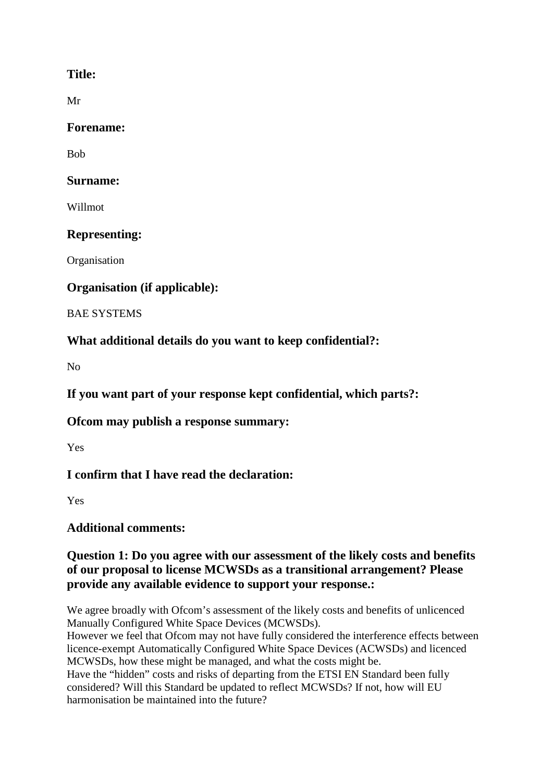# **Title:**

Mr

#### **Forename:**

Bob

## **Surname:**

Willmot

# **Representing:**

**Organisation** 

# **Organisation (if applicable):**

BAE SYSTEMS

# **What additional details do you want to keep confidential?:**

No

**If you want part of your response kept confidential, which parts?:**

# **Ofcom may publish a response summary:**

Yes

# **I confirm that I have read the declaration:**

Yes

# **Additional comments:**

# **Question 1: Do you agree with our assessment of the likely costs and benefits of our proposal to license MCWSDs as a transitional arrangement? Please provide any available evidence to support your response.:**

We agree broadly with Ofcom's assessment of the likely costs and benefits of unlicenced Manually Configured White Space Devices (MCWSDs).

However we feel that Ofcom may not have fully considered the interference effects between licence-exempt Automatically Configured White Space Devices (ACWSDs) and licenced MCWSDs, how these might be managed, and what the costs might be.

Have the "hidden" costs and risks of departing from the ETSI EN Standard been fully considered? Will this Standard be updated to reflect MCWSDs? If not, how will EU harmonisation be maintained into the future?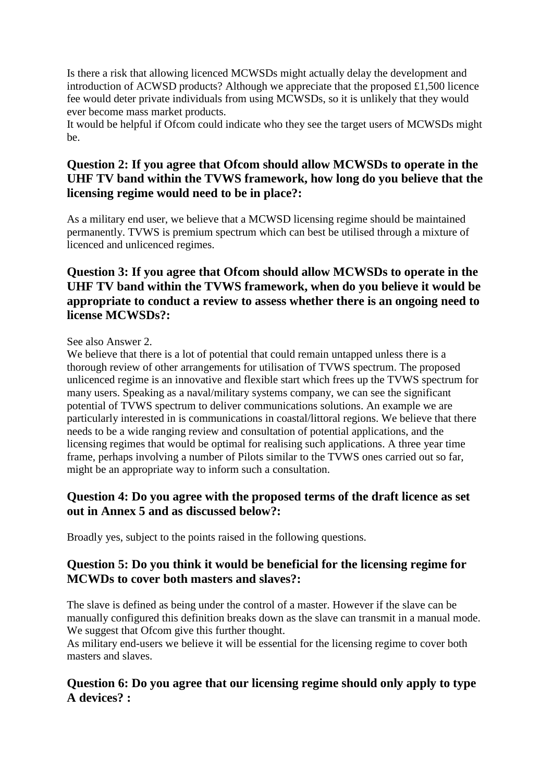Is there a risk that allowing licenced MCWSDs might actually delay the development and introduction of ACWSD products? Although we appreciate that the proposed £1,500 licence fee would deter private individuals from using MCWSDs, so it is unlikely that they would ever become mass market products.

It would be helpful if Ofcom could indicate who they see the target users of MCWSDs might be.

### **Question 2: If you agree that Ofcom should allow MCWSDs to operate in the UHF TV band within the TVWS framework, how long do you believe that the licensing regime would need to be in place?:**

As a military end user, we believe that a MCWSD licensing regime should be maintained permanently. TVWS is premium spectrum which can best be utilised through a mixture of licenced and unlicenced regimes.

### **Question 3: If you agree that Ofcom should allow MCWSDs to operate in the UHF TV band within the TVWS framework, when do you believe it would be appropriate to conduct a review to assess whether there is an ongoing need to license MCWSDs?:**

#### See also Answer 2.

We believe that there is a lot of potential that could remain untapped unless there is a thorough review of other arrangements for utilisation of TVWS spectrum. The proposed unlicenced regime is an innovative and flexible start which frees up the TVWS spectrum for many users. Speaking as a naval/military systems company, we can see the significant potential of TVWS spectrum to deliver communications solutions. An example we are particularly interested in is communications in coastal/littoral regions. We believe that there needs to be a wide ranging review and consultation of potential applications, and the licensing regimes that would be optimal for realising such applications. A three year time frame, perhaps involving a number of Pilots similar to the TVWS ones carried out so far, might be an appropriate way to inform such a consultation.

#### **Question 4: Do you agree with the proposed terms of the draft licence as set out in Annex 5 and as discussed below?:**

Broadly yes, subject to the points raised in the following questions.

### **Question 5: Do you think it would be beneficial for the licensing regime for MCWDs to cover both masters and slaves?:**

The slave is defined as being under the control of a master. However if the slave can be manually configured this definition breaks down as the slave can transmit in a manual mode. We suggest that Ofcom give this further thought.

As military end-users we believe it will be essential for the licensing regime to cover both masters and slaves.

### **Question 6: Do you agree that our licensing regime should only apply to type A devices? :**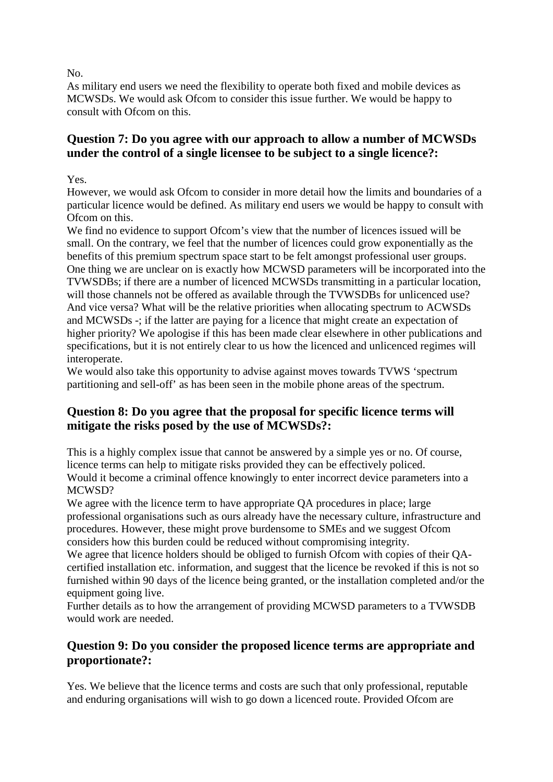No.

As military end users we need the flexibility to operate both fixed and mobile devices as MCWSDs. We would ask Ofcom to consider this issue further. We would be happy to consult with Ofcom on this.

# **Question 7: Do you agree with our approach to allow a number of MCWSDs under the control of a single licensee to be subject to a single licence?:**

Yes.

However, we would ask Ofcom to consider in more detail how the limits and boundaries of a particular licence would be defined. As military end users we would be happy to consult with Ofcom on this.

We find no evidence to support Ofcom's view that the number of licences issued will be small. On the contrary, we feel that the number of licences could grow exponentially as the benefits of this premium spectrum space start to be felt amongst professional user groups. One thing we are unclear on is exactly how MCWSD parameters will be incorporated into the TVWSDBs; if there are a number of licenced MCWSDs transmitting in a particular location, will those channels not be offered as available through the TVWSDBs for unlicenced use? And vice versa? What will be the relative priorities when allocating spectrum to ACWSDs and MCWSDs -; if the latter are paying for a licence that might create an expectation of higher priority? We apologise if this has been made clear elsewhere in other publications and specifications, but it is not entirely clear to us how the licenced and unlicenced regimes will interoperate.

We would also take this opportunity to advise against moves towards TVWS 'spectrum partitioning and sell-off' as has been seen in the mobile phone areas of the spectrum.

# **Question 8: Do you agree that the proposal for specific licence terms will mitigate the risks posed by the use of MCWSDs?:**

This is a highly complex issue that cannot be answered by a simple yes or no. Of course, licence terms can help to mitigate risks provided they can be effectively policed. Would it become a criminal offence knowingly to enter incorrect device parameters into a MCWSD?

We agree with the licence term to have appropriate QA procedures in place; large professional organisations such as ours already have the necessary culture, infrastructure and procedures. However, these might prove burdensome to SMEs and we suggest Ofcom considers how this burden could be reduced without compromising integrity.

We agree that licence holders should be obliged to furnish Ofcom with copies of their OAcertified installation etc. information, and suggest that the licence be revoked if this is not so furnished within 90 days of the licence being granted, or the installation completed and/or the equipment going live.

Further details as to how the arrangement of providing MCWSD parameters to a TVWSDB would work are needed.

### **Question 9: Do you consider the proposed licence terms are appropriate and proportionate?:**

Yes. We believe that the licence terms and costs are such that only professional, reputable and enduring organisations will wish to go down a licenced route. Provided Ofcom are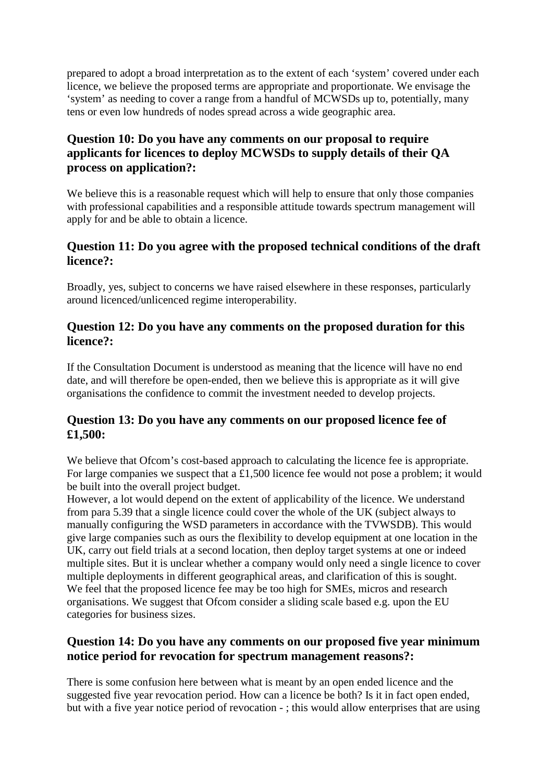prepared to adopt a broad interpretation as to the extent of each 'system' covered under each licence, we believe the proposed terms are appropriate and proportionate. We envisage the 'system' as needing to cover a range from a handful of MCWSDs up to, potentially, many tens or even low hundreds of nodes spread across a wide geographic area.

# **Question 10: Do you have any comments on our proposal to require applicants for licences to deploy MCWSDs to supply details of their QA process on application?:**

We believe this is a reasonable request which will help to ensure that only those companies with professional capabilities and a responsible attitude towards spectrum management will apply for and be able to obtain a licence.

### **Question 11: Do you agree with the proposed technical conditions of the draft licence?:**

Broadly, yes, subject to concerns we have raised elsewhere in these responses, particularly around licenced/unlicenced regime interoperability.

#### **Question 12: Do you have any comments on the proposed duration for this licence?:**

If the Consultation Document is understood as meaning that the licence will have no end date, and will therefore be open-ended, then we believe this is appropriate as it will give organisations the confidence to commit the investment needed to develop projects.

# **Question 13: Do you have any comments on our proposed licence fee of £1,500:**

We believe that Ofcom's cost-based approach to calculating the licence fee is appropriate. For large companies we suspect that a £1,500 licence fee would not pose a problem; it would be built into the overall project budget.

However, a lot would depend on the extent of applicability of the licence. We understand from para 5.39 that a single licence could cover the whole of the UK (subject always to manually configuring the WSD parameters in accordance with the TVWSDB). This would give large companies such as ours the flexibility to develop equipment at one location in the UK, carry out field trials at a second location, then deploy target systems at one or indeed multiple sites. But it is unclear whether a company would only need a single licence to cover multiple deployments in different geographical areas, and clarification of this is sought. We feel that the proposed licence fee may be too high for SMEs, micros and research organisations. We suggest that Ofcom consider a sliding scale based e.g. upon the EU categories for business sizes.

### **Question 14: Do you have any comments on our proposed five year minimum notice period for revocation for spectrum management reasons?:**

There is some confusion here between what is meant by an open ended licence and the suggested five year revocation period. How can a licence be both? Is it in fact open ended, but with a five year notice period of revocation - ; this would allow enterprises that are using